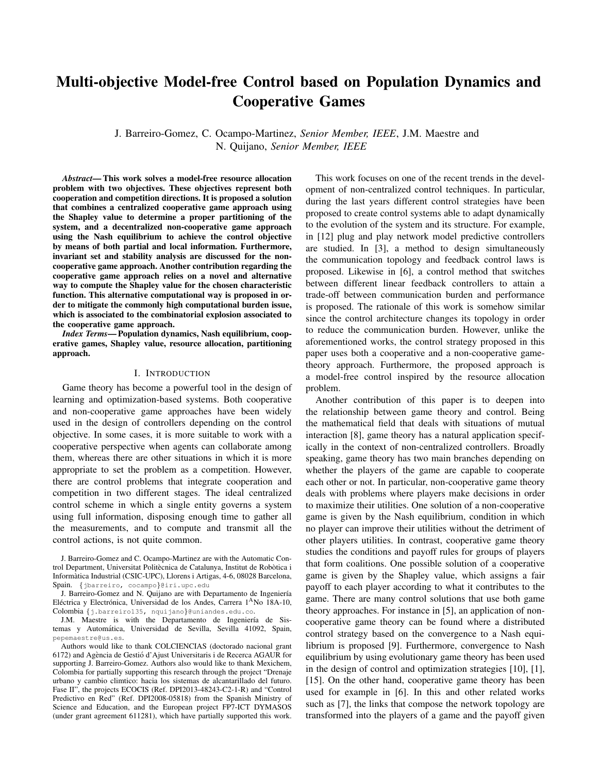# **Multi-objective Model-free Control based on Population Dynamics and Cooperative Games**

J. Barreiro-Gomez, C. Ocampo-Martinez, Senior Member, IEEE, J.M. Maestre and N. Quijano, Senior Member, IEEE

**Abstract—This work solves a model-free resource allocation** problem with two objectives. These objectives represent both cooperation and competition directions. It is proposed a solution that combines a centralized cooperative game approach using the Shapley value to determine a proper partitioning of the system, and a decentralized non-cooperative game approach using the Nash equilibrium to achieve the control objective by means of both partial and local information. Furthermore, invariant set and stability analysis are discussed for the noncooperative game approach. Another contribution regarding the cooperative game approach relies on a novel and alternative way to compute the Shapley value for the chosen characteristic function. This alternative computational way is proposed in order to mitigate the commonly high computational burden issue, which is associated to the combinatorial explosion associated to the cooperative game approach.

Index Terms-Population dynamics, Nash equilibrium, cooperative games, Shapley value, resource allocation, partitioning approach.

### I. INTRODUCTION

Game theory has become a powerful tool in the design of learning and optimization-based systems. Both cooperative and non-cooperative game approaches have been widely used in the design of controllers depending on the control objective. In some cases, it is more suitable to work with a cooperative perspective when agents can collaborate among them, whereas there are other situations in which it is more appropriate to set the problem as a competition. However, there are control problems that integrate cooperation and competition in two different stages. The ideal centralized control scheme in which a single entity governs a system using full information, disposing enough time to gather all the measurements, and to compute and transmit all the control actions, is not quite common.

This work focuses on one of the recent trends in the development of non-centralized control techniques. In particular, during the last years different control strategies have been proposed to create control systems able to adapt dynamically to the evolution of the system and its structure. For example, in [12] plug and play network model predictive controllers are studied. In [3], a method to design simultaneously the communication topology and feedback control laws is proposed. Likewise in [6], a control method that switches between different linear feedback controllers to attain a trade-off between communication burden and performance is proposed. The rationale of this work is somehow similar since the control architecture changes its topology in order to reduce the communication burden. However, unlike the aforementioned works, the control strategy proposed in this paper uses both a cooperative and a non-cooperative gametheory approach. Furthermore, the proposed approach is a model-free control inspired by the resource allocation problem.

Another contribution of this paper is to deepen into the relationship between game theory and control. Being the mathematical field that deals with situations of mutual interaction [8], game theory has a natural application specifically in the context of non-centralized controllers. Broadly speaking, game theory has two main branches depending on whether the players of the game are capable to cooperate each other or not. In particular, non-cooperative game theory deals with problems where players make decisions in order to maximize their utilities. One solution of a non-cooperative game is given by the Nash equilibrium, condition in which no player can improve their utilities without the detriment of other players utilities. In contrast, cooperative game theory studies the conditions and payoff rules for groups of players that form coalitions. One possible solution of a cooperative game is given by the Shapley value, which assigns a fair payoff to each player according to what it contributes to the game. There are many control solutions that use both game theory approaches. For instance in [5], an application of noncooperative game theory can be found where a distributed control strategy based on the convergence to a Nash equilibrium is proposed [9]. Furthermore, convergence to Nash equilibrium by using evolutionary game theory has been used in the design of control and optimization strategies  $[10]$ ,  $[1]$ , [15]. On the other hand, cooperative game theory has been used for example in [6]. In this and other related works such as [7], the links that compose the network topology are transformed into the players of a game and the payoff given

J. Barreiro-Gomez and C. Ocampo-Martinez are with the Automatic Control Department, Universitat Politècnica de Catalunya, Institut de Robòtica i Informàtica Industrial (CSIC-UPC), Llorens i Artigas, 4-6, 08028 Barcelona, Spain. {jbarreiro, cocampo}@iri.upc.edu

J. Barreiro-Gomez and N. Quijano are with Departamento de Ingeniería Eléctrica y Electrónica, Universidad de los Andes, Carrera 1<sup>A</sup>No 18A-10, Colombia {j.barreiro135, nquijano}@uniandes.edu.co.

J.M. Maestre is with the Departamento de Ingeniería de Sistemas y Automática, Universidad de Sevilla, Sevilla 41092, Spain, pepemaestre@us.es.

Authors would like to thank COLCIENCIAS (doctorado nacional grant 6172) and Agència de Gestió d'Ajust Universitaris i de Recerca AGAUR for supporting J. Barreiro-Gomez. Authors also would like to thank Mexichem. Colombia for partially supporting this research through the project "Drenaje urbano y cambio climtico: hacia los sistemas de alcantarillado del futuro. Fase II", the projects ECOCIS (Ref. DPI2013-48243-C2-1-R) and "Control Predictivo en Red" (Ref. DPI2008-05818) from the Spanish Ministry of Science and Education, and the European project FP7-ICT DYMASOS (under grant agreement 611281), which have partially supported this work.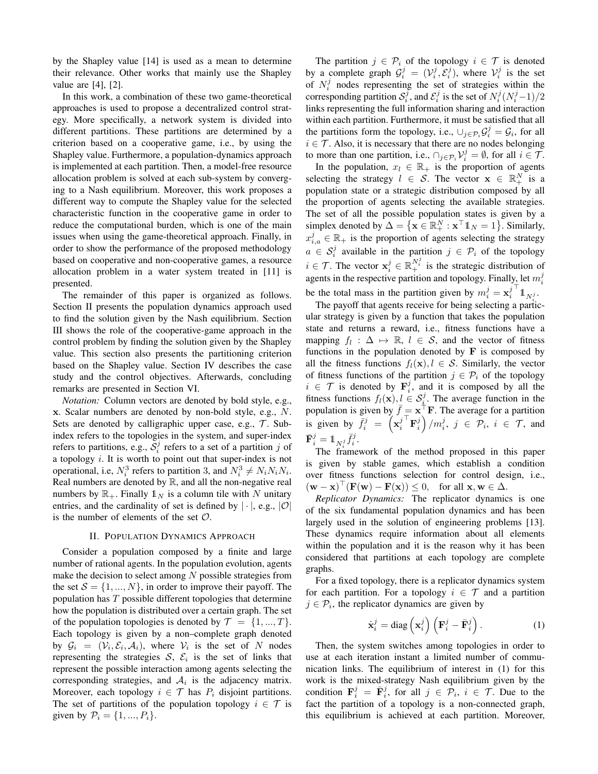by the Shapley value [14] is used as a mean to determine their relevance. Other works that mainly use the Shapley value are  $[4]$ ,  $[2]$ .

In this work, a combination of these two game-theoretical approaches is used to propose a decentralized control strategy. More specifically, a network system is divided into different partitions. These partitions are determined by a criterion based on a cooperative game, i.e., by using the Shapley value. Furthermore, a population-dynamics approach is implemented at each partition. Then, a model-free resource allocation problem is solved at each sub-system by converging to a Nash equilibrium. Moreover, this work proposes a different way to compute the Shapley value for the selected characteristic function in the cooperative game in order to reduce the computational burden, which is one of the main issues when using the game-theoretical approach. Finally, in order to show the performance of the proposed methodology based on cooperative and non-cooperative games, a resource allocation problem in a water system treated in [11] is presented.

The remainder of this paper is organized as follows. Section II presents the population dynamics approach used to find the solution given by the Nash equilibrium. Section III shows the role of the cooperative-game approach in the control problem by finding the solution given by the Shapley value. This section also presents the partitioning criterion based on the Shapley value. Section IV describes the case study and the control objectives. Afterwards, concluding remarks are presented in Section VI.

*Notation:* Column vectors are denoted by bold style, e.g., x. Scalar numbers are denoted by non-bold style, e.g.,  $N$ . Sets are denoted by calligraphic upper case, e.g.,  $T$ . Subindex refers to the topologies in the system, and super-index refers to partitions, e.g.,  $S_i^j$  refers to a set of a partition j of a topology  $i$ . It is worth to point out that super-index is not operational, i.e,  $N_i^3$  refers to partition 3, and  $N_i^3 \neq N_i N_i N_i$ . Real numbers are denoted by  $\mathbb{R}$ , and all the non-negative real numbers by  $\mathbb{R}_+$ . Finally  $\mathbb{1}_N$  is a column tile with N unitary entries, and the cardinality of set is defined by  $|\cdot|$ , e.g.,  $|\mathcal{O}|$ is the number of elements of the set  $\mathcal{O}$ .

## **II. POPULATION DYNAMICS APPROACH**

Consider a population composed by a finite and large number of rational agents. In the population evolution, agents make the decision to select among  $N$  possible strategies from the set  $S = \{1, ..., N\}$ , in order to improve their payoff. The population has  $T$  possible different topologies that determine how the population is distributed over a certain graph. The set of the population topologies is denoted by  $\mathcal{T} = \{1, ..., T\}$ . Each topology is given by a non-complete graph denoted by  $\mathcal{G}_i = (\mathcal{V}_i, \mathcal{E}_i, \mathcal{A}_i)$ , where  $\mathcal{V}_i$  is the set of N nodes representing the strategies  $S$ ,  $\mathcal{E}_i$  is the set of links that represent the possible interaction among agents selecting the corresponding strategies, and  $A_i$  is the adjacency matrix. Moreover, each topology  $i \in \mathcal{T}$  has  $P_i$  disjoint partitions. The set of partitions of the population topology  $i \in \mathcal{T}$  is given by  $P_i = \{1, ..., P_i\}.$ 

The partition  $j \in \mathcal{P}_i$  of the topology  $i \in \mathcal{T}$  is denoted by a complete graph  $\mathcal{G}_i^j = (\mathcal{V}_i^j, \mathcal{E}_i^j)$ , where  $\mathcal{V}_i^j$  is the set of  $N_i^j$  nodes representing the set of strategies within the corresponding partition  $S_i^j$ , and  $\mathcal{E}_i^j$  is the set of  $N_i^j(N_i^j-1)/2$ links representing the full information sharing and interaction within each partition. Furthermore, it must be satisfied that all the partitions form the topology, i.e.,  $\cup_{j \in \mathcal{P}_i} \mathcal{G}_i^j = \mathcal{G}_i$ , for all  $i \in \mathcal{T}$ . Also, it is necessary that there are no nodes belonging to more than one partition, i.e.,  $\bigcap_{j \in \mathcal{P}_i} \mathcal{V}_i^j = \emptyset$ , for all  $i \in \mathcal{T}$ .

In the population,  $x_l \in \mathbb{R}_+$  is the proportion of agents selecting the strategy  $l \in S$ . The vector  $\mathbf{x} \in \mathbb{R}_+^N$  is a population state or a strategic distribution composed by all the proportion of agents selecting the available strategies. The set of all the possible population states is given by a simplex denoted by  $\Delta = {\mathbf{x} \in \mathbb{R}_+^N : \mathbf{x}^\top \mathbb{1}_N = 1}.$  Similarly,  $x_{i,a}^j \in \mathbb{R}_+$  is the proportion of agents selecting the strategy  $a \in S_i^j$  available in the partition  $j \in \mathcal{P}_i$  of the topology  $i \in \mathcal{T}$ . The vector  $\mathbf{x}_i^j \in \mathbb{R}_+^{N_i^j}$  is the strategic distribution of agents in the respective partition and topology. Finally, let  $m_i^j$ be the total mass in the partition given by  $m_i^j = \mathbf{x}_i^{j-1} \mathbf{1}_{N_i^j}$ .

The payoff that agents receive for being selecting a particular strategy is given by a function that takes the population state and returns a reward, i.e., fitness functions have a mapping  $f_l : \Delta \mapsto \mathbb{R}, l \in \mathcal{S}$ , and the vector of fitness functions in the population denoted by  $\bf{F}$  is composed by all the fitness functions  $f_l(\mathbf{x}), l \in \mathcal{S}$ . Similarly, the vector of fitness functions of the partition  $j \in \mathcal{P}_i$  of the topology  $i \in \mathcal{T}$  is denoted by  $\mathbf{F}_i^j$ , and it is composed by all the fitness functions  $f_l(\mathbf{x}), l \in S_i^j$ . The average function in the population is given by  $\bar{f} = \mathbf{x}^\top \mathbf{F}$ . The average for a partition is given by  $\overline{f}_i^j = \left(x_i^{j^\top} \mathbf{F}_i^j\right)/m_i^j$ ,  $j \in \mathcal{P}_i$ ,  $i \in \mathcal{T}$ , and  $\bar{\mathbf{F}}_i^j = \mathbb{1}_{N^j} \bar{f}_i^j.$ 

The framework of the method proposed in this paper is given by stable games, which establish a condition over fitness functions selection for control design, i.e.,  $(\mathbf{w}-\mathbf{x})^{\top}(\mathbf{F}(\mathbf{w})-\mathbf{F}(\mathbf{x})) \leq 0$ , for all  $\mathbf{x}, \mathbf{w} \in \Delta$ .

Replicator Dynamics: The replicator dynamics is one of the six fundamental population dynamics and has been largely used in the solution of engineering problems [13]. These dynamics require information about all elements within the population and it is the reason why it has been considered that partitions at each topology are complete graphs.

For a fixed topology, there is a replicator dynamics system for each partition. For a topology  $i \in \mathcal{T}$  and a partition  $j \in \mathcal{P}_i$ , the replicator dynamics are given by

$$
\dot{\mathbf{x}}_i^j = \text{diag}\left(\mathbf{x}_i^j\right) \left(\mathbf{F}_i^j - \bar{\mathbf{F}}_i^j\right). \tag{1}
$$

Then, the system switches among topologies in order to use at each iteration instant a limited number of communication links. The equilibrium of interest in (1) for this work is the mixed-strategy Nash equilibrium given by the condition  $\mathbf{F}_i^j = \overline{\mathbf{F}}_i^j$ , for all  $j \in \mathcal{P}_i$ ,  $i \in \mathcal{T}$ . Due to the fact the partition of a topology is a non-connected graph, this equilibrium is achieved at each partition. Moreover,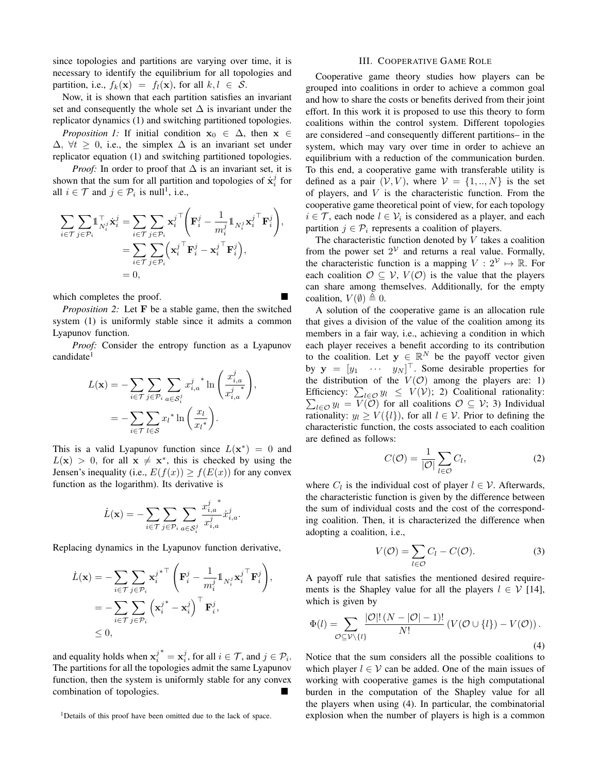since topologies and partitions are varying over time, it is necessary to identify the equilibrium for all topologies and partition, i.e.,  $f_k(\mathbf{x}) = f_l(\mathbf{x})$ , for all  $k, l \in S$ .

Now, it is shown that each partition satisfies an invariant set and consequently the whole set  $\Delta$  is invariant under the replicator dynamics (1) and switching partitioned topologies.

*Proposition 1:* If initial condition  $x_0 \in \Delta$ , then  $x \in$  $\Delta$ ,  $\forall t \geq 0$ , i.e., the simplex  $\Delta$  is an invariant set under replicator equation (1) and switching partitioned topologies.

*Proof:* In order to proof that  $\Delta$  is an invariant set, it is shown that the sum for all partition and topologies of  $\dot{x}^j$  for all  $i \in \mathcal{T}$  and  $j \in \mathcal{P}_i$  is null<sup>1</sup>, i.e.,

$$
\begin{split} \sum_{i \in \mathcal{T}} \sum_{j \in \mathcal{P}_i} & \mathbb{1}_{N_i^j}^{\top} \dot{\mathbf{x}}_i^j = \sum_{i \in \mathcal{T}} \sum_{j \in \mathcal{P}_i} {\mathbf{x}_i^j}^{\top} \bigg( \mathbf{F}_i^j - \frac{1}{m_i^j} \mathbb{1}_{N_i^j} {\mathbf{x}_i^j}^{\top} \mathbf{F}_i^j \bigg), \\ & = \sum_{i \in \mathcal{T}} \sum_{j \in \mathcal{P}_i} \left( \mathbf{x}_i^j {\mathbb{T}} \mathbf{F}_i^j - \mathbf{x}_i^j {\mathbb{T}} \mathbf{F}_i^j \right), \\ & = 0, \end{split}
$$

which completes the proof.

*Proposition 2:* Let **F** be a stable game, then the switched system (1) is uniformly stable since it admits a common Lyapunov function.

*Proof:* Consider the entropy function as a Lyapunov candidate<sup>1</sup>

$$
L(\mathbf{x}) = -\sum_{i \in \mathcal{T}} \sum_{j \in \mathcal{P}_i} \sum_{a \in \mathcal{S}_i^j} x_{i,a}^{j,*} \ln\left(\frac{x_{i,a}^j}{x_{i,a}^{j,*}}\right)
$$

$$
= -\sum_{i \in \mathcal{T}} \sum_{l \in \mathcal{S}} x_l^{*} \ln\left(\frac{x_l}{x_l^{*}}\right).
$$

This is a valid Lyapunov function since  $L(\mathbf{x}^*) = 0$  and  $L(\mathbf{x}) > 0$ , for all  $\mathbf{x} \neq \mathbf{x}^*$ , this is checked by using the Jensen's inequality (i.e.,  $E(f(x)) \ge f(E(x))$  for any convex function as the logarithm). Its derivative is

$$
\dot{L}(\mathbf{x}) = -\sum_{i \in \mathcal{T}} \sum_{j \in \mathcal{P}_i} \sum_{a \in \mathcal{S}_i^j} \frac{x_{i,a}^j}{x_{i,a}^j} \dot{x}_{i,a}^j
$$

Replacing dynamics in the Lyapunov function derivative,

$$
\dot{L}(\mathbf{x}) = -\sum_{i \in \mathcal{T}} \sum_{j \in \mathcal{P}_i} {\mathbf{x}_i^j}^{\mathbf{x}^\top} \left( \mathbf{F}_i^j - \frac{1}{m_i^j} \mathbf{1}_{N_i^j} {\mathbf{x}_i^j}^\top \mathbf{F}_i^j \right),
$$
\n
$$
= -\sum_{i \in \mathcal{T}} \sum_{j \in \mathcal{P}_i} \left( \mathbf{x}_i^j - \mathbf{x}_i^j \right)^\top \mathbf{F}_i^j,
$$
\n
$$
\leq 0,
$$

and equality holds when  $x_i^{j^*} = x_i^j$ , for all  $i \in \mathcal{T}$ , and  $j \in \mathcal{P}_i$ . The partitions for all the topologies admit the same Lyapunov function, then the system is uniformly stable for any convex combination of topologies.

<sup>1</sup>Details of this proof have been omitted due to the lack of space.

### **III. COOPERATIVE GAME ROLE**

Cooperative game theory studies how players can be grouped into coalitions in order to achieve a common goal and how to share the costs or benefits derived from their joint effort. In this work it is proposed to use this theory to form coalitions within the control system. Different topologies are considered -and consequently different partitions- in the system, which may vary over time in order to achieve an equilibrium with a reduction of the communication burden. To this end, a cooperative game with transferable utility is defined as a pair  $(V, V)$ , where  $V = \{1, ..., N\}$  is the set of players, and  $V$  is the characteristic function. From the cooperative game theoretical point of view, for each topology  $i \in \mathcal{T}$ , each node  $l \in \mathcal{V}_i$  is considered as a player, and each partition  $j \in \mathcal{P}_i$  represents a coalition of players.

The characteristic function denoted by  $V$  takes a coalition from the power set  $2^{\mathcal{V}}$  and returns a real value. Formally, the characteristic function is a mapping  $V: 2^{\mathcal{V}} \mapsto \mathbb{R}$ . For each coalition  $\mathcal{O} \subseteq \mathcal{V}$ ,  $V(\mathcal{O})$  is the value that the players can share among themselves. Additionally, for the empty coalition,  $V(\emptyset) \triangleq 0$ .

A solution of the cooperative game is an allocation rule that gives a division of the value of the coalition among its members in a fair way, i.e., achieving a condition in which each player receives a benefit according to its contribution to the coalition. Let  $y \in \mathbb{R}^N$  be the payoff vector given by  $y = [y_1 \cdots y_N]^\top$ . Some desirable properties for the distribution of the  $V(\mathcal{O})$  among the players are: 1) Efficiency:  $\sum_{l \in \mathcal{O}} y_l \leq V(V)$ ; 2) Coalitional rationality:  $\sum_{l \in \mathcal{O}} y_l = V(\mathcal{O})$  for all coalitions  $\mathcal{O} \subseteq \mathcal{V}$ ; 3) Individual rationality:  $y_l \ge V({l})$ , for all  $l \in V$ . Prior to defining the characteristic function, the costs associated to each coalition are defined as follows:

$$
C(\mathcal{O}) = \frac{1}{|\mathcal{O}|} \sum_{l \in \mathcal{O}} C_l, \tag{2}
$$

where  $C_l$  is the individual cost of player  $l \in \mathcal{V}$ . Afterwards, the characteristic function is given by the difference between the sum of individual costs and the cost of the corresponding coalition. Then, it is characterized the difference when adopting a coalition, i.e.,

$$
V(\mathcal{O}) = \sum_{l \in \mathcal{O}} C_l - C(\mathcal{O}).
$$
 (3)

A payoff rule that satisfies the mentioned desired requirements is the Shapley value for all the players  $l \in V$  [14], which is given by

$$
\Phi(l) = \sum_{\mathcal{O} \subseteq \mathcal{V} \backslash \{l\}} \frac{|\mathcal{O}|! \left(N - |\mathcal{O}| - 1\right)!}{N!} \left(V(\mathcal{O} \cup \{l\}) - V(\mathcal{O})\right).
$$
\n(4)

Notice that the sum considers all the possible coalitions to which player  $l \in V$  can be added. One of the main issues of working with cooperative games is the high computational burden in the computation of the Shapley value for all the players when using (4). In particular, the combinatorial explosion when the number of players is high is a common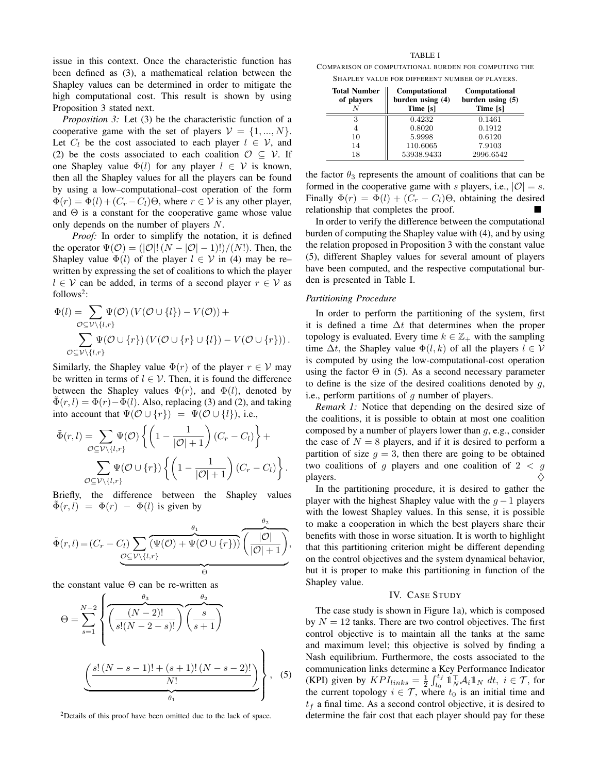issue in this context. Once the characteristic function has been defined as (3), a mathematical relation between the Shapley values can be determined in order to mitigate the high computational cost. This result is shown by using Proposition 3 stated next.

*Proposition 3:* Let (3) be the characteristic function of a cooperative game with the set of players  $V = \{1, ..., N\}$ . Let  $C_l$  be the cost associated to each player  $l \in V$ , and (2) be the costs associated to each coalition  $\mathcal{O} \subseteq \mathcal{V}$ . If one Shapley value  $\Phi(l)$  for any player  $l \in V$  is known, then all the Shapley values for all the players can be found by using a low-computational-cost operation of the form  $\Phi(r) = \Phi(l) + (C_r - C_l)\Theta$ , where  $r \in V$  is any other player, and  $\Theta$  is a constant for the cooperative game whose value only depends on the number of players  $N$ .

*Proof:* In order to simplify the notation, it is defined the operator  $\Psi(\mathcal{O}) = (|\mathcal{O}|! (N - |\mathcal{O}| - 1)!)/(N!)$ . Then, the Shapley value  $\Phi(l)$  of the player  $l \in V$  in (4) may be rewritten by expressing the set of coalitions to which the player  $l \in V$  can be added, in terms of a second player  $r \in V$  as follows<sup>2</sup>:

$$
\Phi(l) = \sum_{\mathcal{O} \subseteq \mathcal{V} \setminus \{l,r\}} \Psi(\mathcal{O}) \left( V(\mathcal{O} \cup \{l\}) - V(\mathcal{O}) \right) + \sum_{\mathcal{O} \subseteq \mathcal{V} \setminus \{l,r\}} \Psi(\mathcal{O} \cup \{r\}) \left( V(\mathcal{O} \cup \{r\} \cup \{l\}) - V(\mathcal{O} \cup \{r\}) \right).
$$

Similarly, the Shapley value  $\Phi(r)$  of the player  $r \in V$  may be written in terms of  $l \in V$ . Then, it is found the difference between the Shapley values  $\Phi(r)$ , and  $\Phi(l)$ , denoted by  $\tilde{\Phi}(r, l) = \Phi(r) - \Phi(l)$ . Also, replacing (3) and (2), and taking into account that  $\Psi(\mathcal{O} \cup \{r\}) = \Psi(\mathcal{O} \cup \{l\}),$  i.e.,

$$
\tilde{\Phi}(r,l) = \sum_{\mathcal{O} \subseteq \mathcal{V} \setminus \{l,r\}} \Psi(\mathcal{O}) \left\{ \left( 1 - \frac{1}{|\mathcal{O}| + 1} \right) (C_r - C_l) \right\} + \sum_{\mathcal{O} \subseteq \mathcal{V} \setminus \{l,r\}} \Psi(\mathcal{O} \cup \{r\}) \left\{ \left( 1 - \frac{1}{|\mathcal{O}| + 1} \right) (C_r - C_l) \right\}.
$$

Briefly, the difference between the Shapley values  $\Phi(r,l) = \Phi(r) - \Phi(l)$  is given by

$$
\tilde{\Phi}(r,l) = (C_r - C_l) \sum_{\mathcal{O} \subseteq \mathcal{V} \setminus \{l,r\}} \overbrace{(\Psi(\mathcal{O}) + \Psi(\mathcal{O} \cup \{r\}))}^{\theta_1} \overbrace{(\frac{|\mathcal{O}|}{|\mathcal{O}|+1})}^{\theta_2},
$$

the constant value  $\Theta$  can be re-written as

$$
\Theta = \sum_{s=1}^{N-2} \left\{ \overbrace{\left(\frac{(N-2)!}{s!(N-2-s)!}\right) \left(\frac{s}{s+1}\right)}^{\theta_2} \overbrace{\left(\frac{s!}{s!(N-2-s)!}\right) \left(\frac{s!}{s+1}\right)}^{\theta_3} \right\}, \quad (5)
$$

<sup>2</sup>Details of this proof have been omitted due to the lack of space.

## **TABLE I**

COMPARISON OF COMPUTATIONAL BURDEN FOR COMPUTING THE SHAPLEY VALUE FOR DIFFERENT NUMBER OF PLAYERS.

| <b>Total Number</b><br>of players | Computational<br>burden using (4)<br>Time [s] | <b>Computational</b><br>burden using $(5)$<br>Time [s] |
|-----------------------------------|-----------------------------------------------|--------------------------------------------------------|
| 3                                 | 0.4232                                        | 0.1461                                                 |
|                                   | 0.8020                                        | 0.1912                                                 |
| 10                                | 5.9998                                        | 0.6120                                                 |
| 14                                | 110.6065                                      | 7.9103                                                 |
| 18                                | 53938.9433                                    | 2996.6542                                              |

the factor  $\theta_3$  represents the amount of coalitions that can be formed in the cooperative game with s players, i.e.,  $|\mathcal{O}| = s$ . Finally  $\Phi(r) = \Phi(l) + (C_r - C_l)\Theta$ , obtaining the desired relationship that completes the proof.

In order to verify the difference between the computational burden of computing the Shapley value with (4), and by using the relation proposed in Proposition 3 with the constant value (5), different Shapley values for several amount of players have been computed, and the respective computational burden is presented in Table I.

## **Partitioning Procedure**

In order to perform the partitioning of the system, first it is defined a time  $\Delta t$  that determines when the proper topology is evaluated. Every time  $k \in \mathbb{Z}_+$  with the sampling time  $\Delta t$ , the Shapley value  $\Phi(l, k)$  of all the players  $l \in V$ is computed by using the low-computational-cost operation using the factor  $\Theta$  in (5). As a second necessary parameter to define is the size of the desired coalitions denoted by  $q$ , i.e., perform partitions of  $q$  number of players.

Remark 1: Notice that depending on the desired size of the coalitions, it is possible to obtain at most one coalition composed by a number of players lower than  $q$ , e.g., consider the case of  $N = 8$  players, and if it is desired to perform a partition of size  $q = 3$ , then there are going to be obtained two coalitions of g players and one coalition of  $2 < g$ players. ♦

In the partitioning procedure, it is desired to gather the player with the highest Shapley value with the  $g-1$  players with the lowest Shapley values. In this sense, it is possible to make a cooperation in which the best players share their benefits with those in worse situation. It is worth to highlight that this partitioning criterion might be different depending on the control objectives and the system dynamical behavior, but it is proper to make this partitioning in function of the Shapley value.

# IV. CASE STUDY

The case study is shown in Figure 1a), which is composed by  $N = 12$  tanks. There are two control objectives. The first control objective is to maintain all the tanks at the same and maximum level; this objective is solved by finding a Nash equilibrium. Furthermore, the costs associated to the communication links determine a Key Performance Indicator (KPI) given by  $KPI_{links} = \frac{1}{2} \int_{t_0}^{t_f} 1_N^{\top} A_i 1_N dt$ ,  $i \in \mathcal{T}$ , for the current topology  $i \in \mathcal{T}$ , where  $t_0$  is an initial time and  $t_f$  a final time. As a second control objective, it is desired to determine the fair cost that each player should pay for these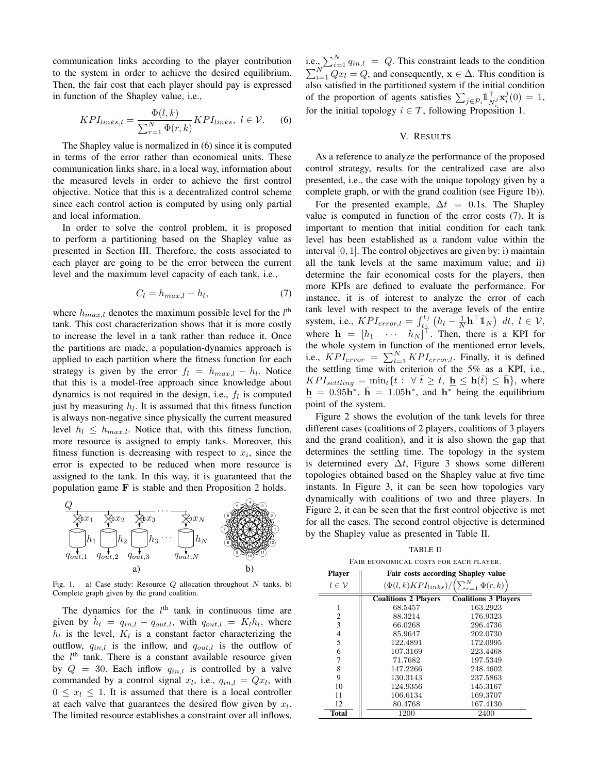communication links according to the player contribution to the system in order to achieve the desired equilibrium. Then, the fair cost that each player should pay is expressed in function of the Shapley value, i.e.,

$$
KPI_{links,l} = \frac{\Phi(l,k)}{\sum_{r=1}^{N} \Phi(r,k)} KPI_{links}, \ l \in \mathcal{V}.
$$
 (6)

The Shapley value is normalized in (6) since it is computed in terms of the error rather than economical units. These communication links share, in a local way, information about the measured levels in order to achieve the first control objective. Notice that this is a decentralized control scheme since each control action is computed by using only partial and local information.

In order to solve the control problem, it is proposed to perform a partitioning based on the Shapley value as presented in Section III. Therefore, the costs associated to each player are going to be the error between the current level and the maximum level capacity of each tank, i.e.,

$$
C_l = h_{max,l} - h_l,\t\t(7)
$$

where  $h_{max,l}$  denotes the maximum possible level for the  $l^{\text{th}}$ tank. This cost characterization shows that it is more costly to increase the level in a tank rather than reduce it. Once the partitions are made, a population-dynamics approach is applied to each partition where the fitness function for each strategy is given by the error  $f_l = h_{max,l} - h_l$ . Notice that this is a model-free approach since knowledge about dynamics is not required in the design, i.e.,  $f_l$  is computed just by measuring  $h_l$ . It is assumed that this fitness function is always non-negative since physically the current measured level  $h_l \leq h_{max,l}$ . Notice that, with this fitness function, more resource is assigned to empty tanks. Moreover, this fitness function is decreasing with respect to  $x_i$ , since the error is expected to be reduced when more resource is assigned to the tank. In this way, it is guaranteed that the population game  $F$  is stable and then Proposition 2 holds.



Fig. 1. a) Case study: Resource  $Q$  allocation throughout  $N$  tanks. b) Complete graph given by the grand coalition.

The dynamics for the  $l<sup>th</sup>$  tank in continuous time are given by  $h_l = q_{in,l} - q_{out,l}$ , with  $q_{out,l} = K_l h_l$ , where  $h_l$  is the level,  $K_l$  is a constant factor characterizing the outflow,  $q_{in,l}$  is the inflow, and  $q_{out,l}$  is the outflow of the  $l<sup>th</sup>$  tank. There is a constant available resource given by  $Q = 30$ . Each inflow  $q_{in,l}$  is controlled by a valve commanded by a control signal  $x_l$ , i.e.,  $q_{in,l} = Qx_l$ , with  $0 \leq x_l \leq 1$ . It is assumed that there is a local controller at each valve that guarantees the desired flow given by  $x_l$ . The limited resource establishes a constraint over all inflows, i.e.,  $\sum_{i=1}^{N} q_{in,l} = Q$ . This constraint leads to the condition  $\sum_{i=1}^{N} Qx_i = Q$ , and consequently,  $\mathbf{x} \in \Delta$ . This condition is also satisfied in the partitioned system if the initial condition of the proportion of agents satisfies  $\sum_{j \in \mathcal{P}_i} \mathbb{1}_{N^j}^{\top} \mathbf{x}_i^j(0) = 1$ , for the initial topology  $i \in \mathcal{T}$ , following Proposition 1.

# V. RESULTS

As a reference to analyze the performance of the proposed control strategy, results for the centralized case are also presented, *i.e.*, the case with the unique topology given by a complete graph, or with the grand coalition (see Figure 1b)).

For the presented example,  $\Delta t = 0.1$ s. The Shapley value is computed in function of the error costs (7). It is important to mention that initial condition for each tank level has been established as a random value within the interval  $[0, 1]$ . The control objectives are given by: i) maintain all the tank levels at the same maximum value; and ii) determine the fair economical costs for the players, then more KPIs are defined to evaluate the performance. For instance, it is of interest to analyze the error of each tank level with respect to the average levels of the entire<br>system, i.e.,  $KPI_{error,l} = \int_{t_0}^{t_f} (h_l - \frac{1}{N} \mathbf{h}^\top \mathbb{1}_N) dt, l \in \mathcal{V}$ ,<br>where  $\mathbf{h} = [h_1 \cdots h_N]^\top$ . Then, there is a KPI for the whole system in function of the mentioned error levels,<br>i.e.,  $KPI_{error} = \sum_{l=1}^{N} KPI_{error,l}$ . Finally, it is defined the settling time with criterion of the 5% as a KPI, i.e.,  $KPI_{setting} = \min_t \{t : \forall \tilde{t} \ge t, \, \underline{\mathbf{h}} \le \mathbf{h}(\tilde{t}) \le \bar{\mathbf{h}}\},$  where  $\underline{\mathbf{h}} = 0.95\mathbf{h}^*, \ \overline{\mathbf{h}} = 1.05\mathbf{h}^*, \ \text{and } \mathbf{h}^*$  being the equilibrium point of the system.

Figure 2 shows the evolution of the tank levels for three different cases (coalitions of 2 players, coalitions of 3 players and the grand coalition), and it is also shown the gap that determines the settling time. The topology in the system is determined every  $\Delta t$ , Figure 3 shows some different topologies obtained based on the Shapley value at five time instants. In Figure 3, it can be seen how topologies vary dynamically with coalitions of two and three players. In Figure 2, it can be seen that the first control objective is met for all the cases. The second control objective is determined by the Shapley value as presented in Table II.

**TABLE II** FAIR ECONOMICAL COSTS FOR EACH PLAYER.

| <b>Player</b>       | Fair costs according Shapley value                            |                             |  |
|---------------------|---------------------------------------------------------------|-----------------------------|--|
| $l \in \mathcal{V}$ | $(\Phi(l,k)KPI_{links})/\left(\sum_{r=1}^{N}\Phi(r,k)\right.$ |                             |  |
|                     | <b>Coalitions 2 Players</b>                                   | <b>Coalitions 3 Players</b> |  |
| 1                   | 68.5457                                                       | 163.2923                    |  |
| $\overline{2}$      | 88.3214                                                       | 176.9323                    |  |
| 3                   | 66.0268                                                       | 296.4736                    |  |
| 4                   | 85.9647                                                       | 202.0730                    |  |
| 5                   | 122.4891                                                      | 172.0995                    |  |
| 6                   | 107.3169                                                      | 223.4468                    |  |
| 7                   | 71.7682                                                       | 197.5349                    |  |
| 8                   | 147.2266                                                      | 248.4602                    |  |
| 9                   | 130.3143                                                      | 237.5863                    |  |
| 10                  | 124.9356                                                      | 145.3167                    |  |
| 11                  | 106.6134                                                      | 169.3707                    |  |
| 12                  | 80.4768                                                       | 167.4130                    |  |
| <b>Total</b>        | 1200                                                          | 2400                        |  |